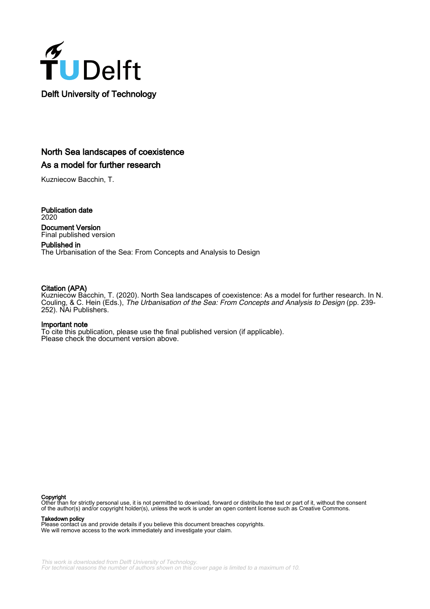

# North Sea landscapes of coexistence As a model for further research

Kuzniecow Bacchin, T.

Publication date 2020 Document Version Final published version

Published in The Urbanisation of the Sea: From Concepts and Analysis to Design

# Citation (APA)

Kuzniecow Bacchin, T. (2020). North Sea landscapes of coexistence: As a model for further research. In N. Couling, & C. Hein (Eds.), The Urbanisation of the Sea: From Concepts and Analysis to Design (pp. 239- 252). NAi Publishers.

### Important note

To cite this publication, please use the final published version (if applicable). Please check the document version above.

### Copyright

Other than for strictly personal use, it is not permitted to download, forward or distribute the text or part of it, without the consent of the author(s) and/or copyright holder(s), unless the work is under an open content license such as Creative Commons.

Takedown policy

Please contact us and provide details if you believe this document breaches copyrights. We will remove access to the work immediately and investigate your claim.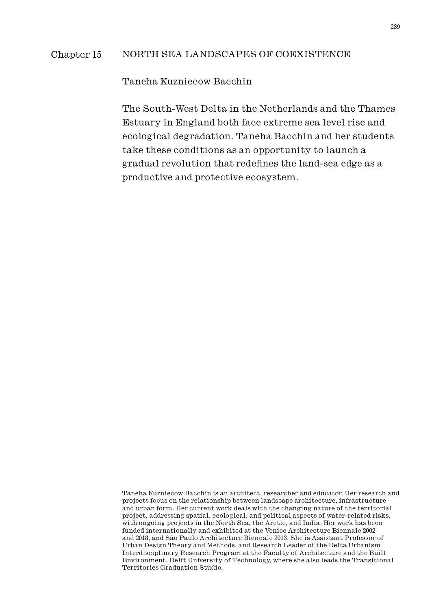## Chapter 15 NORTH SEA LANDSCAPES OF COEXISTENCE

Taneha Kuzniecow Bacchin

The South-West Delta in the Netherlands and the Thames Estuary in England both face extreme sea level rise and ecological degradation. Taneha Bacchin and her students take these conditions as an opportunity to launch a gradual revolution that redefines the land-sea edge as a productive and protective ecosystem.

Taneha Kuzniecow Bacchin is an architect, researcher and educator. Her research and projects focus on the relationship between landscape architecture, infrastructure and urban form. Her current work deals with the changing nature of the territorial project, addressing spatial, ecological, and political aspects of water-related risks, with ongoing projects in the North Sea, the Arctic, and India. Her work has been funded internationally and exhibited at the Venice Architecture Biennale 2002 and 2018, and São Paulo Architecture Biennale 2013. She is Assistant Professor of Urban Design Theory and Methods, and Research Leader of the Delta Urbanism Interdisciplinary Research Program at the Faculty of Architecture and the Built Environment, Delft University of Technology, where she also leads the Transitional Territories Graduation Studio.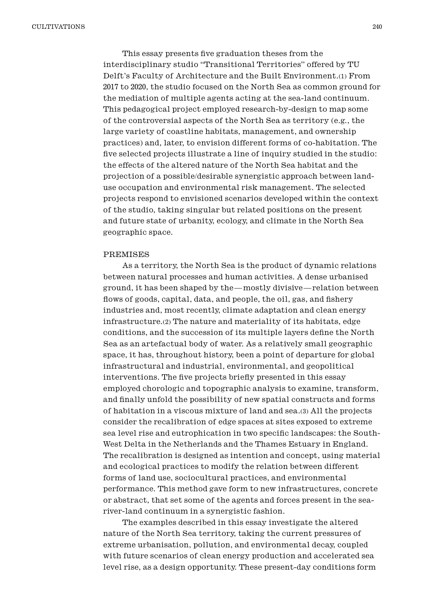This essay presents five graduation theses from the interdisciplinary studio "Transitional Territories" offered by TU Delft's Faculty of Architecture and the Built Environment.(1) From 2017 to 2020, the studio focused on the North Sea as common ground for the mediation of multiple agents acting at the sea-land continuum. This pedagogical project employed research-by-design to map some of the controversial aspects of the North Sea as territory (e.g., the large variety of coastline habitats, management, and ownership practices) and, later, to envision different forms of co-habitation. The five selected projects illustrate a line of inquiry studied in the studio: the effects of the altered nature of the North Sea habitat and the projection of a possible/desirable synergistic approach between landuse occupation and environmental risk management. The selected projects respond to envisioned scenarios developed within the context of the studio, taking singular but related positions on the present and future state of urbanity, ecology, and climate in the North Sea geographic space.

#### PREMISES

As a territory, the North Sea is the product of dynamic relations between natural processes and human activities. A dense urbanised ground, it has been shaped by the—mostly divisive—relation between flows of goods, capital, data, and people, the oil, gas, and fishery industries and, most recently, climate adaptation and clean energy infrastructure.(2) The nature and materiality of its habitats, edge conditions, and the succession of its multiple layers define the North Sea as an artefactual body of water. As a relatively small geographic space, it has, throughout history, been a point of departure for global infrastructural and industrial, environmental, and geopolitical interventions. The five projects briefly presented in this essay employed chorologic and topographic analysis to examine, transform, and finally unfold the possibility of new spatial constructs and forms of habitation in a viscous mixture of land and sea.(3) All the projects consider the recalibration of edge spaces at sites exposed to extreme sea level rise and eutrophication in two specific landscapes: the South-West Delta in the Netherlands and the Thames Estuary in England. The recalibration is designed as intention and concept, using material and ecological practices to modify the relation between different forms of land use, sociocultural practices, and environmental performance. This method gave form to new infrastructures, concrete or abstract, that set some of the agents and forces present in the seariver-land continuum in a synergistic fashion.

The examples described in this essay investigate the altered nature of the North Sea territory, taking the current pressures of extreme urbanisation, pollution, and environmental decay, coupled with future scenarios of clean energy production and accelerated sea level rise, as a design opportunity. These present-day conditions form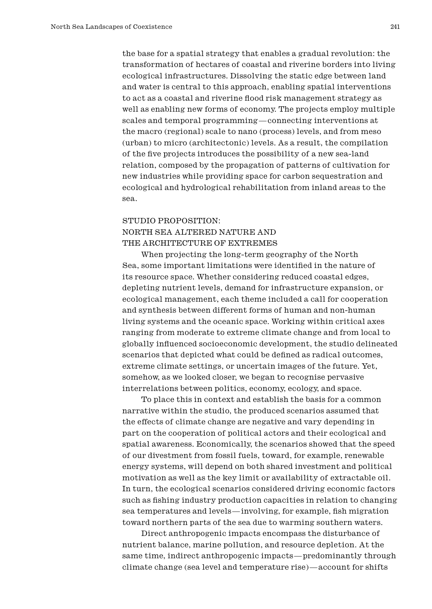the base for a spatial strategy that enables a gradual revolution: the transformation of hectares of coastal and riverine borders into living ecological infrastructures. Dissolving the static edge between land and water is central to this approach, enabling spatial interventions to act as a coastal and riverine flood risk management strategy as well as enabling new forms of economy. The projects employ multiple scales and temporal programming—connecting interventions at the macro (regional) scale to nano (process) levels, and from meso (urban) to micro (architectonic) levels. As a result, the compilation of the five projects introduces the possibility of a new sea-land relation, composed by the propagation of patterns of cultivation for new industries while providing space for carbon sequestration and ecological and hydrological rehabilitation from inland areas to the sea.

# STUDIO PROPOSITION: NORTH SEA ALTERED NATURE AND THE ARCHITECTURE OF EXTREMES

When projecting the long-term geography of the North Sea, some important limitations were identified in the nature of its resource space. Whether considering reduced coastal edges, depleting nutrient levels, demand for infrastructure expansion, or ecological management, each theme included a call for cooperation and synthesis between different forms of human and non-human living systems and the oceanic space. Working within critical axes ranging from moderate to extreme climate change and from local to globally influenced socioeconomic development, the studio delineated scenarios that depicted what could be defined as radical outcomes, extreme climate settings, or uncertain images of the future. Yet, somehow, as we looked closer, we began to recognise pervasive interrelations between politics, economy, ecology, and space.

To place this in context and establish the basis for a common narrative within the studio, the produced scenarios assumed that the effects of climate change are negative and vary depending in part on the cooperation of political actors and their ecological and spatial awareness. Economically, the scenarios showed that the speed of our divestment from fossil fuels, toward, for example, renewable energy systems, will depend on both shared investment and political motivation as well as the key limit or availability of extractable oil. In turn, the ecological scenarios considered driving economic factors such as fishing industry production capacities in relation to changing sea temperatures and levels—involving, for example, fish migration toward northern parts of the sea due to warming southern waters.

Direct anthropogenic impacts encompass the disturbance of nutrient balance, marine pollution, and resource depletion. At the same time, indirect anthropogenic impacts—predominantly through climate change (sea level and temperature rise)—account for shifts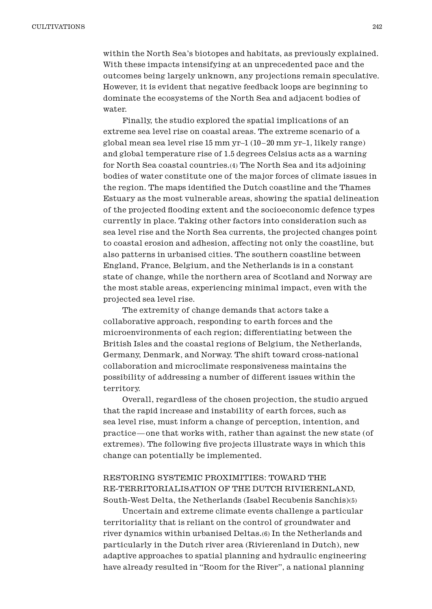within the North Sea's biotopes and habitats, as previously explained. With these impacts intensifying at an unprecedented pace and the outcomes being largely unknown, any projections remain speculative. However, it is evident that negative feedback loops are beginning to dominate the ecosystems of the North Sea and adjacent bodies of water.

Finally, the studio explored the spatial implications of an extreme sea level rise on coastal areas. The extreme scenario of a global mean sea level rise 15 mm yr–1 (10 –20 mm yr–1, likely range) and global temperature rise of 1.5 degrees Celsius acts as a warning for North Sea coastal countries.(4) The North Sea and its adjoining bodies of water constitute one of the major forces of climate issues in the region. The maps identified the Dutch coastline and the Thames Estuary as the most vulnerable areas, showing the spatial delineation of the projected flooding extent and the socioeconomic defence types currently in place. Taking other factors into consideration such as sea level rise and the North Sea currents, the projected changes point to coastal erosion and adhesion, affecting not only the coastline, but also patterns in urbanised cities. The southern coastline between England, France, Belgium, and the Netherlands is in a constant state of change, while the northern area of Scotland and Norway are the most stable areas, experiencing minimal impact, even with the projected sea level rise.

The extremity of change demands that actors take a collaborative approach, responding to earth forces and the microenvironments of each region; differentiating between the British Isles and the coastal regions of Belgium, the Netherlands, Germany, Denmark, and Norway. The shift toward cross-national collaboration and microclimate responsiveness maintains the possibility of addressing a number of different issues within the territory.

Overall, regardless of the chosen projection, the studio argued that the rapid increase and instability of earth forces, such as sea level rise, must inform a change of perception, intention, and practice—one that works with, rather than against the new state (of extremes). The following five projects illustrate ways in which this change can potentially be implemented.

## RESTORING SYSTEMIC PROXIMITIES: TOWARD THE RE-TERRITORIALISATION OF THE DUTCH RIVIERENLAND, South-West Delta, the Netherlands (Isabel Recubenis Sanchis)(5)

Uncertain and extreme climate events challenge a particular territoriality that is reliant on the control of groundwater and river dynamics within urbanised Deltas.(6) In the Netherlands and particularly in the Dutch river area (Rivierenland in Dutch), new adaptive approaches to spatial planning and hydraulic engineering have already resulted in "Room for the River", a national planning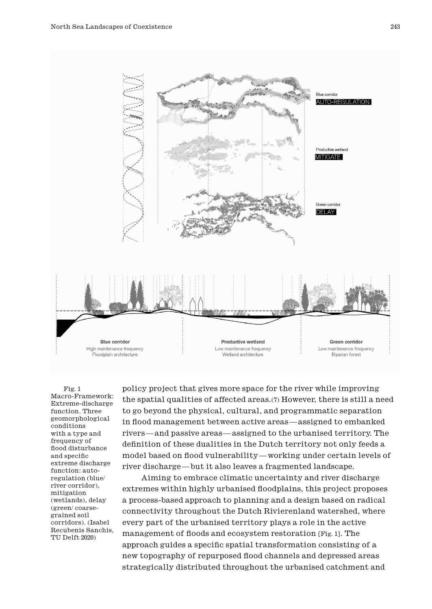

Fig. 1 Macro-Framework: Extreme-discharge function. Three geomorphological conditions with a type and frequency of flood disturbance and specific extreme discharge function: autoregulation (blue/ river corridor), mitigation (wetlands), delay (green/ coarsegrained soil corridors). (Isabel Recubenis Sanchis, TU Delft 2020)

policy project that gives more space for the river while improving the spatial qualities of affected areas.(7) However, there is still a need to go beyond the physical, cultural, and programmatic separation in flood management between active areas—assigned to embanked rivers—and passive areas—assigned to the urbanised territory. The definition of these dualities in the Dutch territory not only feeds a model based on flood vulnerability—working under certain levels of river discharge—but it also leaves a fragmented landscape.

Aiming to embrace climatic uncertainty and river discharge extremes within highly urbanised floodplains, this project proposes a process-based approach to planning and a design based on radical connectivity throughout the Dutch Rivierenland watershed, where every part of the urbanised territory plays a role in the active management of floods and ecosystem restoration [Fig. 1]. The approach guides a specific spatial transformation consisting of a new topography of repurposed flood channels and depressed areas strategically distributed throughout the urbanised catchment and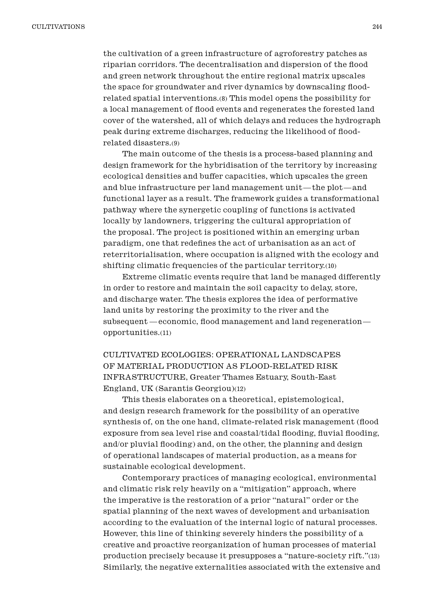the cultivation of a green infrastructure of agroforestry patches as riparian corridors. The decentralisation and dispersion of the flood and green network throughout the entire regional matrix upscales the space for groundwater and river dynamics by downscaling floodrelated spatial interventions.(8) This model opens the possibility for a local management of flood events and regenerates the forested land cover of the watershed, all of which delays and reduces the hydrograph peak during extreme discharges, reducing the likelihood of floodrelated disasters.(9)

The main outcome of the thesis is a process-based planning and design framework for the hybridisation of the territory by increasing ecological densities and buffer capacities, which upscales the green and blue infrastructure per land management unit—the plot—and functional layer as a result. The framework guides a transformational pathway where the synergetic coupling of functions is activated locally by landowners, triggering the cultural appropriation of the proposal. The project is positioned within an emerging urban paradigm, one that redefines the act of urbanisation as an act of reterritorialisation, where occupation is aligned with the ecology and shifting climatic frequencies of the particular territory.(10)

Extreme climatic events require that land be managed differently in order to restore and maintain the soil capacity to delay, store, and discharge water. The thesis explores the idea of performative land units by restoring the proximity to the river and the subsequent —economic, flood management and land regeneration opportunities.(11)

CULTIVATED ECOLOGIES: OPERATIONAL LANDSCAPES OF MATERIAL PRODUCTION AS FLOOD-RELATED RISK INFRASTRUCTURE, Greater Thames Estuary, South-East England, UK (Sarantis Georgiou)(12)

This thesis elaborates on a theoretical, epistemological, and design research framework for the possibility of an operative synthesis of, on the one hand, climate-related risk management (flood exposure from sea level rise and coastal/tidal flooding, fluvial flooding, and/or pluvial flooding) and, on the other, the planning and design of operational landscapes of material production, as a means for sustainable ecological development.

Contemporary practices of managing ecological, environmental and climatic risk rely heavily on a "mitigation" approach, where the imperative is the restoration of a prior "natural" order or the spatial planning of the next waves of development and urbanisation according to the evaluation of the internal logic of natural processes. However, this line of thinking severely hinders the possibility of a creative and proactive reorganization of human processes of material production precisely because it presupposes a "nature-society rift."(13) Similarly, the negative externalities associated with the extensive and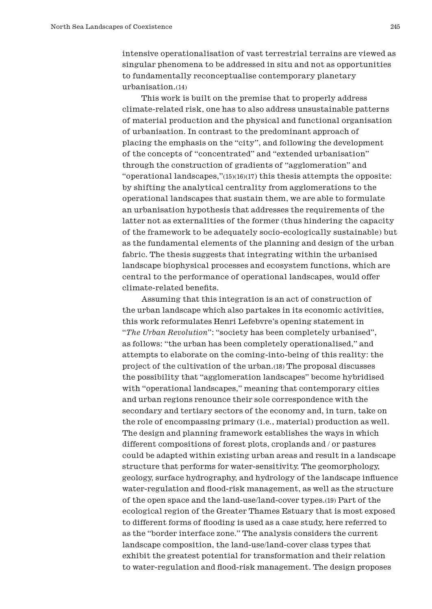intensive operationalisation of vast terrestrial terrains are viewed as singular phenomena to be addressed in situ and not as opportunities to fundamentally reconceptualise contemporary planetary urbanisation.(14)

This work is built on the premise that to properly address climate-related risk, one has to also address unsustainable patterns of material production and the physical and functional organisation of urbanisation. In contrast to the predominant approach of placing the emphasis on the "city", and following the development of the concepts of "concentrated" and "extended urbanisation" through the construction of gradients of "agglomeration" and "operational landscapes,"(15)(16)(17) this thesis attempts the opposite: by shifting the analytical centrality from agglomerations to the operational landscapes that sustain them, we are able to formulate an urbanisation hypothesis that addresses the requirements of the latter not as externalities of the former (thus hindering the capacity of the framework to be adequately socio-ecologically sustainable) but as the fundamental elements of the planning and design of the urban fabric. The thesis suggests that integrating within the urbanised landscape biophysical processes and ecosystem functions, which are central to the performance of operational landscapes, would offer climate-related benefits.

Assuming that this integration is an act of construction of the urban landscape which also partakes in its economic activities, this work reformulates Henri Lefebvre's opening statement in "*The Urban Revolution*": "society has been completely urbanised", as follows: "the urban has been completely operationalised," and attempts to elaborate on the coming-into-being of this reality: the project of the cultivation of the urban.(18) The proposal discusses the possibility that "agglomeration landscapes" become hybridised with "operational landscapes," meaning that contemporary cities and urban regions renounce their sole correspondence with the secondary and tertiary sectors of the economy and, in turn, take on the role of encompassing primary (i.e., material) production as well. The design and planning framework establishes the ways in which different compositions of forest plots, croplands and / or pastures could be adapted within existing urban areas and result in a landscape structure that performs for water-sensitivity. The geomorphology, geology, surface hydrography, and hydrology of the landscape influence water-regulation and flood-risk management, as well as the structure of the open space and the land-use/land-cover types.(19) Part of the ecological region of the Greater Thames Estuary that is most exposed to different forms of flooding is used as a case study, here referred to as the "border interface zone." The analysis considers the current landscape composition, the land-use/land-cover class types that exhibit the greatest potential for transformation and their relation to water-regulation and flood-risk management. The design proposes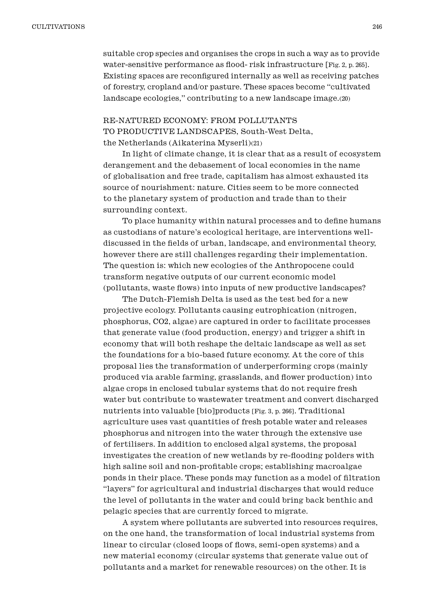suitable crop species and organises the crops in such a way as to provide water-sensitive performance as flood-risk infrastructure [Fig. 2, p. 265]. Existing spaces are reconfigured internally as well as receiving patches of forestry, cropland and/or pasture. These spaces become "cultivated landscape ecologies," contributing to a new landscape image.(20)

# RE-NATURED ECONOMY: FROM POLLUTANTS TO PRODUCTIVE LANDSCAPES, South-West Delta, the Netherlands (Aikaterina Myserli)(21)

In light of climate change, it is clear that as a result of ecosystem derangement and the debasement of local economies in the name of globalisation and free trade, capitalism has almost exhausted its source of nourishment: nature. Cities seem to be more connected to the planetary system of production and trade than to their surrounding context.

To place humanity within natural processes and to define humans as custodians of nature's ecological heritage, are interventions welldiscussed in the fields of urban, landscape, and environmental theory, however there are still challenges regarding their implementation. The question is: which new ecologies of the Anthropocene could transform negative outputs of our current economic model (pollutants, waste flows) into inputs of new productive landscapes?

The Dutch-Flemish Delta is used as the test bed for a new projective ecology. Pollutants causing eutrophication (nitrogen, phosphorus, CO2, algae) are captured in order to facilitate processes that generate value (food production, energy) and trigger a shift in economy that will both reshape the deltaic landscape as well as set the foundations for a bio-based future economy. At the core of this proposal lies the transformation of underperforming crops (mainly produced via arable farming, grasslands, and flower production) into algae crops in enclosed tubular systems that do not require fresh water but contribute to wastewater treatment and convert discharged nutrients into valuable [bio]products [Fig. 3, p. 266]. Traditional agriculture uses vast quantities of fresh potable water and releases phosphorus and nitrogen into the water through the extensive use of fertilisers. In addition to enclosed algal systems, the proposal investigates the creation of new wetlands by re-flooding polders with high saline soil and non-profitable crops; establishing macroalgae ponds in their place. These ponds may function as a model of filtration "layers" for agricultural and industrial discharges that would reduce the level of pollutants in the water and could bring back benthic and pelagic species that are currently forced to migrate.

A system where pollutants are subverted into resources requires, on the one hand, the transformation of local industrial systems from linear to circular (closed loops of flows, semi-open systems) and a new material economy (circular systems that generate value out of pollutants and a market for renewable resources) on the other. It is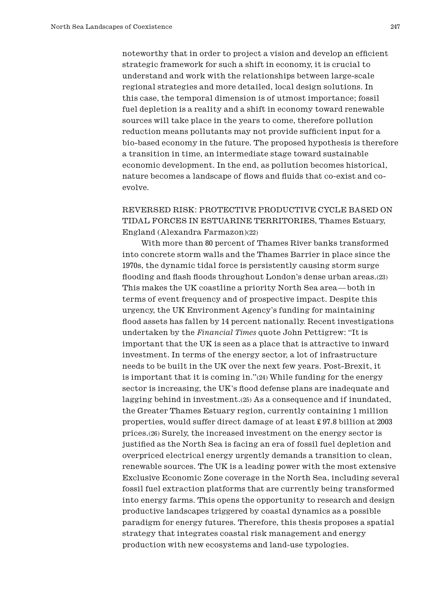noteworthy that in order to project a vision and develop an efficient strategic framework for such a shift in economy, it is crucial to understand and work with the relationships between large-scale regional strategies and more detailed, local design solutions. In this case, the temporal dimension is of utmost importance; fossil fuel depletion is a reality and a shift in economy toward renewable sources will take place in the years to come, therefore pollution reduction means pollutants may not provide sufficient input for a bio-based economy in the future. The proposed hypothesis is therefore a transition in time, an intermediate stage toward sustainable economic development. In the end, as pollution becomes historical, nature becomes a landscape of flows and fluids that co-exist and coevolve.

# REVERSED RISK: PROTECTIVE PRODUCTIVE CYCLE BASED ON TIDAL FORCES IN ESTUARINE TERRITORIES, Thames Estuary, England (Alexandra Farmazon)(22)

With more than 80 percent of Thames River banks transformed into concrete storm walls and the Thames Barrier in place since the 1970s, the dynamic tidal force is persistently causing storm surge flooding and flash floods throughout London's dense urban areas.(23) This makes the UK coastline a priority North Sea area—both in terms of event frequency and of prospective impact. Despite this urgency, the UK Environment Agency's funding for maintaining flood assets has fallen by 14 percent nationally. Recent investigations undertaken by the *Financial Times* quote John Pettigrew: "It is important that the UK is seen as a place that is attractive to inward investment. In terms of the energy sector, a lot of infrastructure needs to be built in the UK over the next few years. Post-Brexit, it is important that it is coming in."(24) While funding for the energy sector is increasing, the UK's flood defense plans are inadequate and lagging behind in investment.(25) As a consequence and if inundated, the Greater Thames Estuary region, currently containing 1 million properties, would suffer direct damage of at least £ 97.8 billion at 2003 prices.(26) Surely, the increased investment on the energy sector is justified as the North Sea is facing an era of fossil fuel depletion and overpriced electrical energy urgently demands a transition to clean, renewable sources. The UK is a leading power with the most extensive Exclusive Economic Zone coverage in the North Sea, including several fossil fuel extraction platforms that are currently being transformed into energy farms. This opens the opportunity to research and design productive landscapes triggered by coastal dynamics as a possible paradigm for energy futures. Therefore, this thesis proposes a spatial strategy that integrates coastal risk management and energy production with new ecosystems and land-use typologies.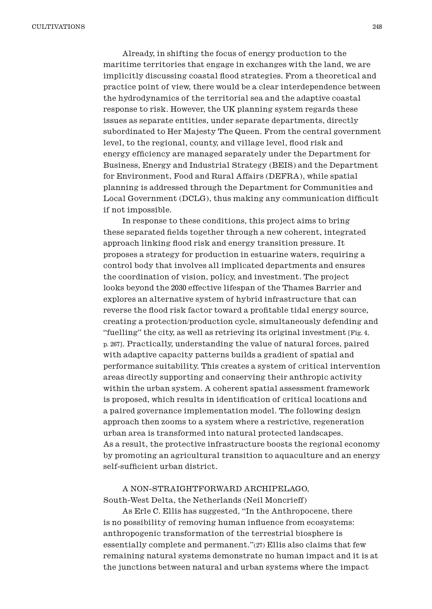Already, in shifting the focus of energy production to the maritime territories that engage in exchanges with the land, we are implicitly discussing coastal flood strategies. From a theoretical and practice point of view, there would be a clear interdependence between the hydrodynamics of the territorial sea and the adaptive coastal response to risk. However, the UK planning system regards these issues as separate entities, under separate departments, directly subordinated to Her Majesty The Queen. From the central government level, to the regional, county, and village level, flood risk and energy efficiency are managed separately under the Department for Business, Energy and Industrial Strategy (BEIS) and the Department for Environment, Food and Rural Affairs (DEFRA), while spatial planning is addressed through the Department for Communities and Local Government (DCLG), thus making any communication difficult if not impossible.

In response to these conditions, this project aims to bring these separated fields together through a new coherent, integrated approach linking flood risk and energy transition pressure. It proposes a strategy for production in estuarine waters, requiring a control body that involves all implicated departments and ensures the coordination of vision, policy, and investment. The project looks beyond the 2030 effective lifespan of the Thames Barrier and explores an alternative system of hybrid infrastructure that can reverse the flood risk factor toward a profitable tidal energy source, creating a protection/production cycle, simultaneously defending and "fuelling" the city, as well as retrieving its original investment [Fig. 4, p. 267]. Practically, understanding the value of natural forces, paired with adaptive capacity patterns builds a gradient of spatial and performance suitability. This creates a system of critical intervention areas directly supporting and conserving their anthropic activity within the urban system. A coherent spatial assessment framework is proposed, which results in identification of critical locations and a paired governance implementation model. The following design approach then zooms to a system where a restrictive, regeneration urban area is transformed into natural protected landscapes. As a result, the protective infrastructure boosts the regional economy by promoting an agricultural transition to aquaculture and an energy self-sufficient urban district.

A NON-STRAIGHTFORWARD ARCHIPELAGO, South-West Delta, the Netherlands (Neil Moncrieff)

As Erle C. Ellis has suggested, "In the Anthropocene, there is no possibility of removing human influence from ecosystems: anthropogenic transformation of the terrestrial biosphere is essentially complete and permanent."(27) Ellis also claims that few remaining natural systems demonstrate no human impact and it is at the junctions between natural and urban systems where the impact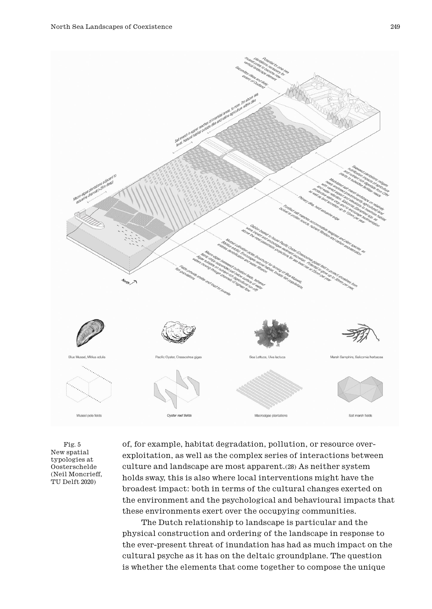

Fig. 5 New spatial typologies at Oosterschelde (Neil Moncrieff, TU Delft 2020)

of, for example, habitat degradation, pollution, or resource overexploitation, as well as the complex series of interactions between culture and landscape are most apparent.(28) As neither system holds sway, this is also where local interventions might have the broadest impact: both in terms of the cultural changes exerted on the environment and the psychological and behavioural impacts that these environments exert over the occupying communities.

The Dutch relationship to landscape is particular and the physical construction and ordering of the landscape in response to the ever-present threat of inundation has had as much impact on the cultural psyche as it has on the deltaic groundplane. The question is whether the elements that come together to compose the unique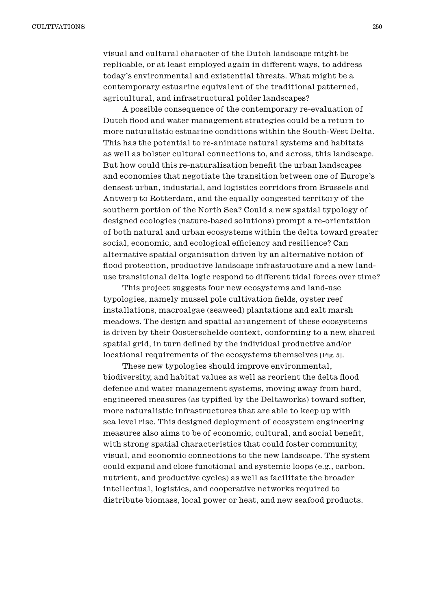visual and cultural character of the Dutch landscape might be replicable, or at least employed again in different ways, to address today's environmental and existential threats. What might be a contemporary estuarine equivalent of the traditional patterned, agricultural, and infrastructural polder landscapes?

A possible consequence of the contemporary re-evaluation of Dutch flood and water management strategies could be a return to more naturalistic estuarine conditions within the South-West Delta. This has the potential to re-animate natural systems and habitats as well as bolster cultural connections to, and across, this landscape. But how could this re-naturalisation benefit the urban landscapes and economies that negotiate the transition between one of Europe's densest urban, industrial, and logistics corridors from Brussels and Antwerp to Rotterdam, and the equally congested territory of the southern portion of the North Sea? Could a new spatial typology of designed ecologies (nature-based solutions) prompt a re-orientation of both natural and urban ecosystems within the delta toward greater social, economic, and ecological efficiency and resilience? Can alternative spatial organisation driven by an alternative notion of flood protection, productive landscape infrastructure and a new landuse transitional delta logic respond to different tidal forces over time?

This project suggests four new ecosystems and land-use typologies, namely mussel pole cultivation fields, oyster reef installations, macroalgae (seaweed) plantations and salt marsh meadows. The design and spatial arrangement of these ecosystems is driven by their Oosterschelde context, conforming to a new, shared spatial grid, in turn defined by the individual productive and/or locational requirements of the ecosystems themselves [Fig. 5].

These new typologies should improve environmental, biodiversity, and habitat values as well as reorient the delta flood defence and water management systems, moving away from hard, engineered measures (as typified by the Deltaworks) toward softer, more naturalistic infrastructures that are able to keep up with sea level rise. This designed deployment of ecosystem engineering measures also aims to be of economic, cultural, and social benefit, with strong spatial characteristics that could foster community, visual, and economic connections to the new landscape. The system could expand and close functional and systemic loops (e.g., carbon, nutrient, and productive cycles) as well as facilitate the broader intellectual, logistics, and cooperative networks required to distribute biomass, local power or heat, and new seafood products.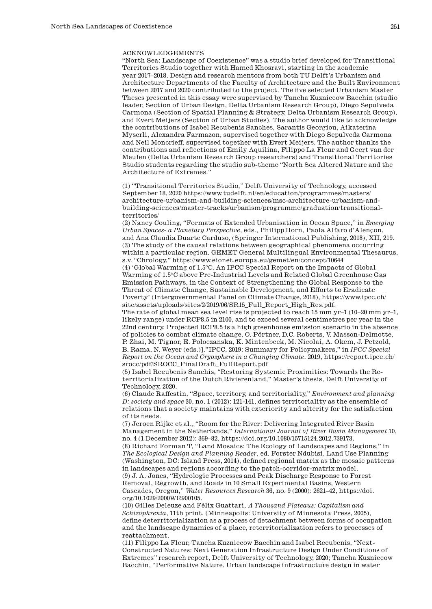#### ACKNOWLEDGEMENTS

"North Sea: Landscape of Coexistence" was a studio brief developed for Transitional Territories Studio together with Hamed Khosravi, starting in the academic year 2017–2018. Design and research mentors from both TU Delft's Urbanism and Architecture Departments of the Faculty of Architecture and the Built Environment between 2017 and 2020 contributed to the project. The five selected Urbanism Master Theses presented in this essay were supervised by Taneha Kuzniecow Bacchin (studio leader, Section of Urban Design, Delta Urbanism Research Group), Diego Sepulveda Carmona (Section of Spatial Planning & Strategy, Delta Urbanism Research Group), and Evert Meijers (Section of Urban Studies). The author would like to acknowledge the contributions of Isabel Recubenis Sanches, Sarantis Georgiou, Aikaterina Myserli, Alexandra Farmazon, supervised together with Diego Sepulveda Carmona and Neil Moncrieff, supervised together with Evert Meijers. The author thanks the contributions and reflections of Emily Aquilina, Filippo La Fleur and Geert van der Meulen (Delta Urbanism Research Group researchers) and Transitional Territories Studio students regarding the studio sub-theme "North Sea Altered Nature and the Architecture of Extremes."

(1) "Transitional Territories Studio," Delft University of Technology, accessed September 18, 2020 [https://www.tudelft.nl/en/education/programmes/masters/](https://www.tudelft.nl/en/education/programmes/masters/architecture-urbanism-and-building-sciences/msc-architecture-urbanism-and-building-sciences/master-tracks/urbanism/programme/graduation/transitional-territories/and) [architecture-urbanism-and-building-sciences/msc-architecture-urbanism-and](https://www.tudelft.nl/en/education/programmes/masters/architecture-urbanism-and-building-sciences/msc-architecture-urbanism-and-building-sciences/master-tracks/urbanism/programme/graduation/transitional-territories/and)[building-sciences/master-tracks/urbanism/programme/graduation/transitional](https://www.tudelft.nl/en/education/programmes/masters/architecture-urbanism-and-building-sciences/msc-architecture-urbanism-and-building-sciences/master-tracks/urbanism/programme/graduation/transitional-territories/and)[territories/](https://www.tudelft.nl/en/education/programmes/masters/architecture-urbanism-and-building-sciences/msc-architecture-urbanism-and-building-sciences/master-tracks/urbanism/programme/graduation/transitional-territories/and)

(2) Nancy Couling, "Formats of Extended Urbanisation in Ocean Space," in *Emerging Urban Spaces- a Planetary Perspective*, eds., Philipp Horn, Paola Alfaro d'Alençon, and Ana Claudia Duarte Carduso, (Springer International Publishing, 2018), XII, 219. (3) The study of the causal relations between geographical phenomena occurring within a particular region. GEMET General Multilingual Environmental Thesaurus, s.v. "Chrology,"<https://www.eionet.europa.eu/gemet/en/concept/10644>

(4) 'Global Warming of 1.5°C. An IPCC Special Report on the Impacts of Global Warming of 1.5°C above Pre-Industrial Levels and Related Global Greenhouse Gas Emission Pathways, in the Context of Strengthening the Global Response to the Threat of Climate Change, Sustainable Development, and Efforts to Eradicate Poverty' (Intergovernmental Panel on Climate Change, 2018), https://www.ipcc.ch/ site/assets/uploads/sites/2/2019/06/SR15\_Full\_Report\_High\_Res.pdf.

The rate of global mean sea level rise is projected to reach 15 mm yr–1 (10–20 mm yr–1, likely range) under RCP8.5 in 2100, and to exceed several centimetres per year in the 22nd century. Projected RCP8.5 is a high greenhouse emission scenario in the absence of policies to combat climate change. O. Pörtner, D.C. Roberts, V. Masson-Delmotte, P. Zhai, M. Tignor, E. Poloczanska, K. Mintenbeck, M. Nicolai, A. Okem, J. Petzold, B. Rama, N. Weyer (eds.)]."IPCC, 2019: Summary for Policymakers," in *IPCC Special Report on the Ocean and Cryosphere in a Changing Climate.* 2019, [https://report.ipcc.ch/](https://report.ipcc.ch/srocc/pdf/SROCC_FinalDraft_FullReport.pdf) [srocc/pdf/SROCC\\_FinalDraft\\_FullReport.pdf](https://report.ipcc.ch/srocc/pdf/SROCC_FinalDraft_FullReport.pdf)

(5) Isabel Recubenis Sanchis, "Restoring Systemic Proximities: Towards the Reterritorialization of the Dutch Rivierenland," Master's thesis, Delft University of Technology, 2020.

(6) Claude Raffestin, "Space, territory, and territoriality," *Environment and planning D: society and space* 30, no. 1 (2012): 121-141, defines territoriality as the ensemble of relations that a society maintains with exteriority and alterity for the satisfaction of its needs.

(7) Jeroen Rijke et al., "Room for the River: Delivering Integrated River Basin Management in the Netherlands," *International Journal of River Basin Management* 10, no. 4 (1 December 2012): 369–82, https://doi.org/10.1080/15715124.2012.739173.

(8) Richard Forman T, "Land Mosaics: The Ecology of Landscapes and Regions," in *The Ecological Design and Planning Reader*, ed. Forster Ndubisi, Land Use Planning (Washington, DC: Island Press, 2014), defined regional matrix as the mosaic patterns in landscapes and regions according to the patch-corridor-matrix model. (9) J. A. Jones, "Hydrologic Processes and Peak Discharge Response to Forest Removal, Regrowth, and Roads in 10 Small Experimental Basins, Western Cascades, Oregon," *Water Resources Research* 36, no. 9 (2000): 2621–42, https://doi. org/10.1029/2000WR900105.

(10) Gilles Deleuze and Félix Guattari, *A Thousand Plateaus: Capitalism and Schizophrenia*, 11th print. (Minneapolis: University of Minnesota Press, 2005), define deterritorialization as a process of detachment between forms of occupation and the landscape dynamics of a place, reterritorialization refers to processes of reattachment.

(11) Filippo La Fleur, Taneha Kuzniecow Bacchin and Isabel Recubenis, "Next-Constructed Natures: Next Generation Infrastructure Design Under Conditions of Extremes*"* research report, Delft University of Technology, 2020; Taneha Kuzniecow Bacchin, "Performative Nature. Urban landscape infrastructure design in water